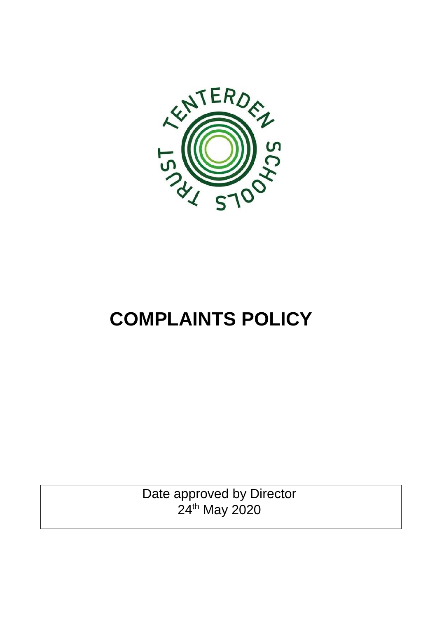

# **COMPLAINTS POLICY**

Date approved by Director 24th May 2020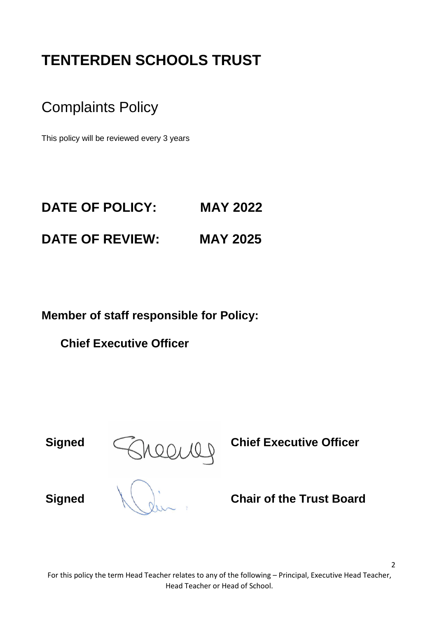## **TENTERDEN SCHOOLS TRUST**

Complaints Policy

This policy will be reviewed every 3 years

## **DATE OF POLICY: MAY 2022 DATE OF REVIEW: MAY 2025**

**Member of staff responsible for Policy:**

**Chief Executive Officer** 

**Signed**  $\bigcap_{k \geq 0}$  of  $\bigcap_{k \geq 0}$  **Chief Executive Officer** 

**Signed Chair of the Trust Board**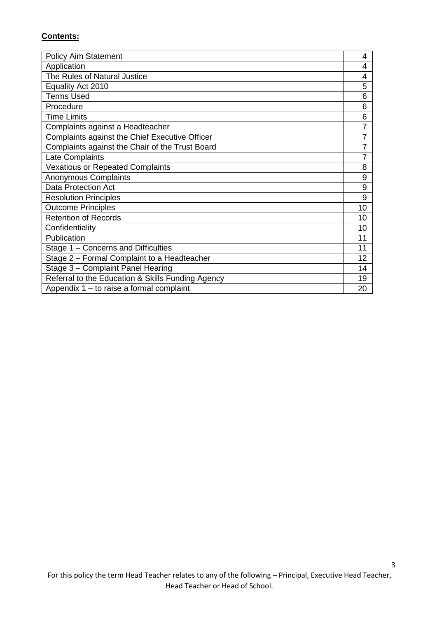#### **Contents:**

| <b>Policy Aim Statement</b>                       | 4  |
|---------------------------------------------------|----|
| Application                                       | 4  |
| The Rules of Natural Justice                      | 4  |
| Equality Act 2010                                 | 5  |
| <b>Terms Used</b>                                 | 6  |
| Procedure                                         | 6  |
| <b>Time Limits</b>                                | 6  |
| Complaints against a Headteacher                  | 7  |
| Complaints against the Chief Executive Officer    | 7  |
| Complaints against the Chair of the Trust Board   | 7  |
| Late Complaints                                   | 7  |
| <b>Vexatious or Repeated Complaints</b>           | 8  |
| Anonymous Complaints                              | 9  |
| <b>Data Protection Act</b>                        | 9  |
| <b>Resolution Principles</b>                      | 9  |
| <b>Outcome Principles</b>                         | 10 |
| <b>Retention of Records</b>                       | 10 |
| Confidentiality                                   | 10 |
| Publication                                       | 11 |
| Stage 1 – Concerns and Difficulties               | 11 |
| Stage 2 - Formal Complaint to a Headteacher       | 12 |
| Stage 3 - Complaint Panel Hearing                 | 14 |
| Referral to the Education & Skills Funding Agency | 19 |
| Appendix $1 -$ to raise a formal complaint        | 20 |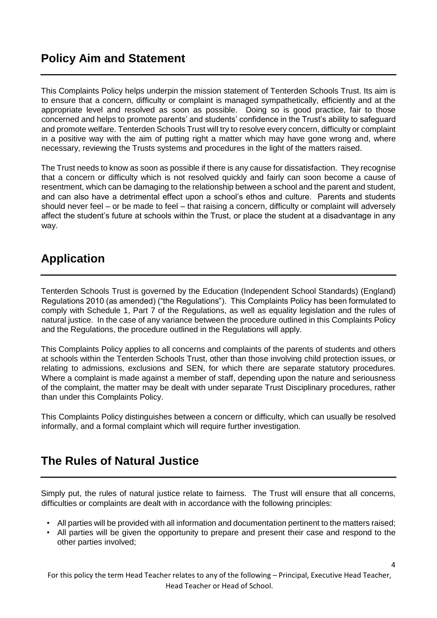### **Policy Aim and Statement**

This Complaints Policy helps underpin the mission statement of Tenterden Schools Trust. Its aim is to ensure that a concern, difficulty or complaint is managed sympathetically, efficiently and at the appropriate level and resolved as soon as possible. Doing so is good practice, fair to those concerned and helps to promote parents' and students' confidence in the Trust's ability to safeguard and promote welfare. Tenterden Schools Trust will try to resolve every concern, difficulty or complaint in a positive way with the aim of putting right a matter which may have gone wrong and, where necessary, reviewing the Trusts systems and procedures in the light of the matters raised.

The Trust needs to know as soon as possible if there is any cause for dissatisfaction. They recognise that a concern or difficulty which is not resolved quickly and fairly can soon become a cause of resentment, which can be damaging to the relationship between a school and the parent and student, and can also have a detrimental effect upon a school's ethos and culture. Parents and students should never feel – or be made to feel – that raising a concern, difficulty or complaint will adversely affect the student's future at schools within the Trust, or place the student at a disadvantage in any way.

### **Application**

Tenterden Schools Trust is governed by the Education (Independent School Standards) (England) Regulations 2010 (as amended) ("the Regulations"). This Complaints Policy has been formulated to comply with Schedule 1, Part 7 of the Regulations, as well as equality legislation and the rules of natural justice. In the case of any variance between the procedure outlined in this Complaints Policy and the Regulations, the procedure outlined in the Regulations will apply.

This Complaints Policy applies to all concerns and complaints of the parents of students and others at schools within the Tenterden Schools Trust, other than those involving child protection issues, or relating to admissions, exclusions and SEN, for which there are separate statutory procedures. Where a complaint is made against a member of staff, depending upon the nature and seriousness of the complaint, the matter may be dealt with under separate Trust Disciplinary procedures, rather than under this Complaints Policy.

This Complaints Policy distinguishes between a concern or difficulty, which can usually be resolved informally, and a formal complaint which will require further investigation.

### **The Rules of Natural Justice**

Simply put, the rules of natural justice relate to fairness. The Trust will ensure that all concerns, difficulties or complaints are dealt with in accordance with the following principles:

- All parties will be provided with all information and documentation pertinent to the matters raised;
- All parties will be given the opportunity to prepare and present their case and respond to the other parties involved;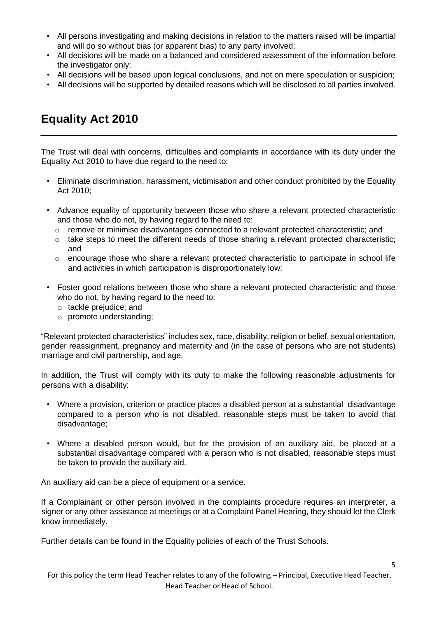- All persons investigating and making decisions in relation to the matters raised will be impartial and will do so without bias (or apparent bias) to any party involved;
- All decisions will be made on a balanced and considered assessment of the information before the investigator only;
- All decisions will be based upon logical conclusions, and not on mere speculation or suspicion;
- All decisions will be supported by detailed reasons which will be disclosed to all parties involved.

### **Equality Act 2010**

The Trust will deal with concerns, difficulties and complaints in accordance with its duty under the Equality Act 2010 to have due regard to the need to:

- Eliminate discrimination, harassment, victimisation and other conduct prohibited by the Equality Act 2010;
- Advance equality of opportunity between those who share a relevant protected characteristic and those who do not, by having regard to the need to:
	- o remove or minimise disadvantages connected to a relevant protected characteristic; and
	- $\circ$  take steps to meet the different needs of those sharing a relevant protected characteristic; and
	- o encourage those who share a relevant protected characteristic to participate in school life and activities in which participation is disproportionately low;
- Foster good relations between those who share a relevant protected characteristic and those who do not, by having regard to the need to:
	- o tackle prejudice; and
	- o promote understanding;

"Relevant protected characteristics" includes sex, race, disability, religion or belief, sexual orientation, gender reassignment, pregnancy and maternity and (in the case of persons who are not students) marriage and civil partnership, and age.

In addition, the Trust will comply with its duty to make the following reasonable adjustments for persons with a disability:

- Where a provision, criterion or practice places a disabled person at a substantial disadvantage compared to a person who is not disabled, reasonable steps must be taken to avoid that disadvantage;
- Where a disabled person would, but for the provision of an auxiliary aid, be placed at a substantial disadvantage compared with a person who is not disabled, reasonable steps must be taken to provide the auxiliary aid.

An auxiliary aid can be a piece of equipment or a service.

If a Complainant or other person involved in the complaints procedure requires an interpreter, a signer or any other assistance at meetings or at a Complaint Panel Hearing, they should let the Clerk know immediately.

Further details can be found in the Equality policies of each of the Trust Schools.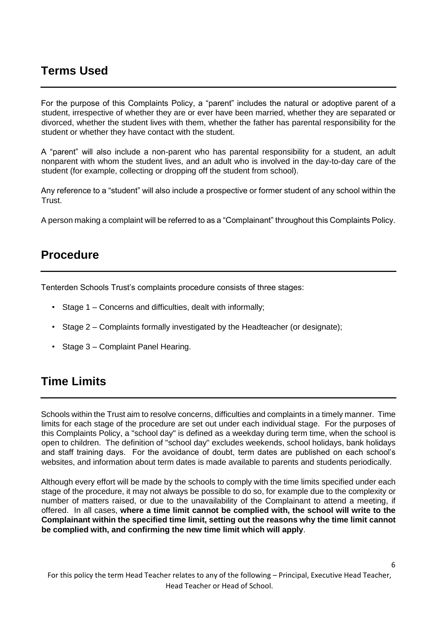### **Terms Used**

For the purpose of this Complaints Policy, a "parent" includes the natural or adoptive parent of a student, irrespective of whether they are or ever have been married, whether they are separated or divorced, whether the student lives with them, whether the father has parental responsibility for the student or whether they have contact with the student.

A "parent" will also include a non-parent who has parental responsibility for a student, an adult nonparent with whom the student lives, and an adult who is involved in the day-to-day care of the student (for example, collecting or dropping off the student from school).

Any reference to a "student" will also include a prospective or former student of any school within the Trust.

A person making a complaint will be referred to as a "Complainant" throughout this Complaints Policy.

### **Procedure**

Tenterden Schools Trust's complaints procedure consists of three stages:

- Stage 1 Concerns and difficulties, dealt with informally;
- Stage 2 Complaints formally investigated by the Headteacher (or designate);
- Stage 3 Complaint Panel Hearing.

### **Time Limits**

Schools within the Trust aim to resolve concerns, difficulties and complaints in a timely manner. Time limits for each stage of the procedure are set out under each individual stage. For the purposes of this Complaints Policy, a "school day" is defined as a weekday during term time, when the school is open to children. The definition of "school day" excludes weekends, school holidays, bank holidays and staff training days. For the avoidance of doubt, term dates are published on each school's websites, and information about term dates is made available to parents and students periodically.

Although every effort will be made by the schools to comply with the time limits specified under each stage of the procedure, it may not always be possible to do so, for example due to the complexity or number of matters raised, or due to the unavailability of the Complainant to attend a meeting, if offered. In all cases, **where a time limit cannot be complied with, the school will write to the Complainant within the specified time limit, setting out the reasons why the time limit cannot be complied with, and confirming the new time limit which will apply**.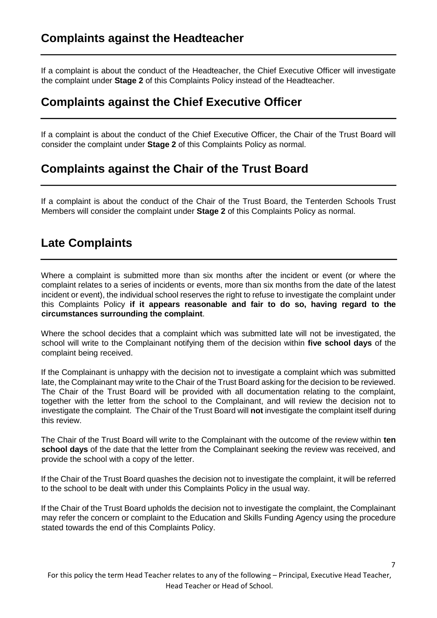If a complaint is about the conduct of the Headteacher, the Chief Executive Officer will investigate the complaint under **Stage 2** of this Complaints Policy instead of the Headteacher.

### **Complaints against the Chief Executive Officer**

If a complaint is about the conduct of the Chief Executive Officer, the Chair of the Trust Board will consider the complaint under **Stage 2** of this Complaints Policy as normal.

### **Complaints against the Chair of the Trust Board**

If a complaint is about the conduct of the Chair of the Trust Board, the Tenterden Schools Trust Members will consider the complaint under **Stage 2** of this Complaints Policy as normal.

### **Late Complaints**

Where a complaint is submitted more than six months after the incident or event (or where the complaint relates to a series of incidents or events, more than six months from the date of the latest incident or event), the individual school reserves the right to refuse to investigate the complaint under this Complaints Policy **if it appears reasonable and fair to do so, having regard to the circumstances surrounding the complaint**.

Where the school decides that a complaint which was submitted late will not be investigated, the school will write to the Complainant notifying them of the decision within **five school days** of the complaint being received.

If the Complainant is unhappy with the decision not to investigate a complaint which was submitted late, the Complainant may write to the Chair of the Trust Board asking for the decision to be reviewed. The Chair of the Trust Board will be provided with all documentation relating to the complaint, together with the letter from the school to the Complainant, and will review the decision not to investigate the complaint. The Chair of the Trust Board will **not** investigate the complaint itself during this review.

The Chair of the Trust Board will write to the Complainant with the outcome of the review within **ten school days** of the date that the letter from the Complainant seeking the review was received, and provide the school with a copy of the letter.

If the Chair of the Trust Board quashes the decision not to investigate the complaint, it will be referred to the school to be dealt with under this Complaints Policy in the usual way.

If the Chair of the Trust Board upholds the decision not to investigate the complaint, the Complainant may refer the concern or complaint to the Education and Skills Funding Agency using the procedure stated towards the end of this Complaints Policy.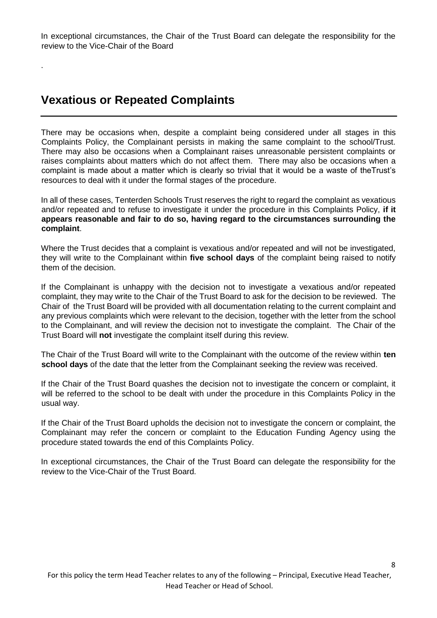In exceptional circumstances, the Chair of the Trust Board can delegate the responsibility for the review to the Vice-Chair of the Board

### **Vexatious or Repeated Complaints**

.

There may be occasions when, despite a complaint being considered under all stages in this Complaints Policy, the Complainant persists in making the same complaint to the school/Trust. There may also be occasions when a Complainant raises unreasonable persistent complaints or raises complaints about matters which do not affect them. There may also be occasions when a complaint is made about a matter which is clearly so trivial that it would be a waste of theTrust's resources to deal with it under the formal stages of the procedure.

In all of these cases, Tenterden Schools Trust reserves the right to regard the complaint as vexatious and/or repeated and to refuse to investigate it under the procedure in this Complaints Policy, **if it appears reasonable and fair to do so, having regard to the circumstances surrounding the complaint**.

Where the Trust decides that a complaint is vexatious and/or repeated and will not be investigated, they will write to the Complainant within **five school days** of the complaint being raised to notify them of the decision.

If the Complainant is unhappy with the decision not to investigate a vexatious and/or repeated complaint, they may write to the Chair of the Trust Board to ask for the decision to be reviewed. The Chair of the Trust Board will be provided with all documentation relating to the current complaint and any previous complaints which were relevant to the decision, together with the letter from the school to the Complainant, and will review the decision not to investigate the complaint. The Chair of the Trust Board will **not** investigate the complaint itself during this review.

The Chair of the Trust Board will write to the Complainant with the outcome of the review within **ten school days** of the date that the letter from the Complainant seeking the review was received.

If the Chair of the Trust Board quashes the decision not to investigate the concern or complaint, it will be referred to the school to be dealt with under the procedure in this Complaints Policy in the usual way.

If the Chair of the Trust Board upholds the decision not to investigate the concern or complaint, the Complainant may refer the concern or complaint to the Education Funding Agency using the procedure stated towards the end of this Complaints Policy.

In exceptional circumstances, the Chair of the Trust Board can delegate the responsibility for the review to the Vice-Chair of the Trust Board.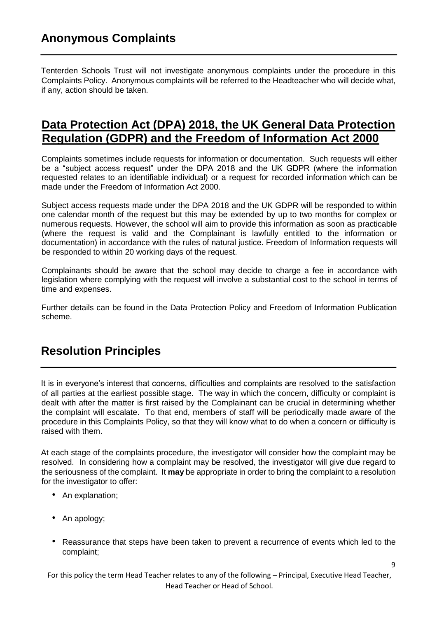### **Anonymous Complaints**

Tenterden Schools Trust will not investigate anonymous complaints under the procedure in this Complaints Policy. Anonymous complaints will be referred to the Headteacher who will decide what, if any, action should be taken.

### **Data Protection Act (DPA) 2018, the UK General Data Protection Regulation (GDPR) and the Freedom of Information Act 2000**

Complaints sometimes include requests for information or documentation. Such requests will either be a "subject access request" under the DPA 2018 and the UK GDPR (where the information requested relates to an identifiable individual) or a request for recorded information which can be made under the Freedom of Information Act 2000.

Subject access requests made under the DPA 2018 and the UK GDPR will be responded to within one calendar month of the request but this may be extended by up to two months for complex or numerous requests. However, the school will aim to provide this information as soon as practicable (where the request is valid and the Complainant is lawfully entitled to the information or documentation) in accordance with the rules of natural justice. Freedom of Information requests will be responded to within 20 working days of the request.

Complainants should be aware that the school may decide to charge a fee in accordance with legislation where complying with the request will involve a substantial cost to the school in terms of time and expenses.

Further details can be found in the Data Protection Policy and Freedom of Information Publication scheme.

### **Resolution Principles**

It is in everyone's interest that concerns, difficulties and complaints are resolved to the satisfaction of all parties at the earliest possible stage. The way in which the concern, difficulty or complaint is dealt with after the matter is first raised by the Complainant can be crucial in determining whether the complaint will escalate. To that end, members of staff will be periodically made aware of the procedure in this Complaints Policy, so that they will know what to do when a concern or difficulty is raised with them.

At each stage of the complaints procedure, the investigator will consider how the complaint may be resolved. In considering how a complaint may be resolved, the investigator will give due regard to the seriousness of the complaint. It **may** be appropriate in order to bring the complaint to a resolution for the investigator to offer:

- An explanation:
- An apology;
- Reassurance that steps have been taken to prevent a recurrence of events which led to the complaint;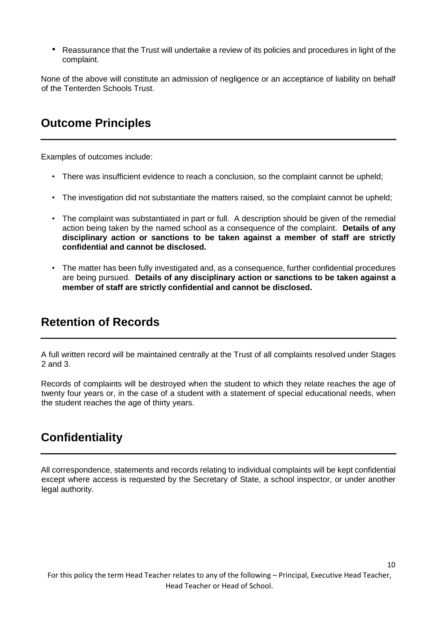• Reassurance that the Trust will undertake a review of its policies and procedures in light of the complaint.

None of the above will constitute an admission of negligence or an acceptance of liability on behalf of the Tenterden Schools Trust.

### **Outcome Principles**

Examples of outcomes include:

- There was insufficient evidence to reach a conclusion, so the complaint cannot be upheld;
- The investigation did not substantiate the matters raised, so the complaint cannot be upheld;
- The complaint was substantiated in part or full. A description should be given of the remedial action being taken by the named school as a consequence of the complaint. **Details of any disciplinary action or sanctions to be taken against a member of staff are strictly confidential and cannot be disclosed.**
- The matter has been fully investigated and, as a consequence, further confidential procedures are being pursued. **Details of any disciplinary action or sanctions to be taken against a member of staff are strictly confidential and cannot be disclosed.**

### **Retention of Records**

A full written record will be maintained centrally at the Trust of all complaints resolved under Stages 2 and 3.

Records of complaints will be destroyed when the student to which they relate reaches the age of twenty four years or, in the case of a student with a statement of special educational needs, when the student reaches the age of thirty years.

### **Confidentiality**

All correspondence, statements and records relating to individual complaints will be kept confidential except where access is requested by the Secretary of State, a school inspector, or under another legal authority.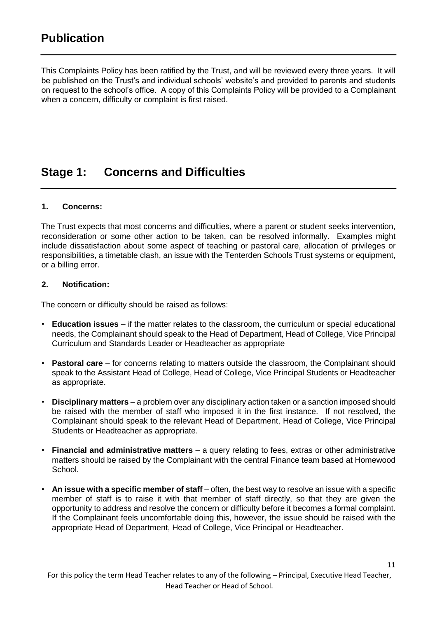This Complaints Policy has been ratified by the Trust, and will be reviewed every three years. It will be published on the Trust's and individual schools' website's and provided to parents and students on request to the school's office. A copy of this Complaints Policy will be provided to a Complainant when a concern, difficulty or complaint is first raised.

### **Stage 1: Concerns and Difficulties**

#### **1. Concerns:**

The Trust expects that most concerns and difficulties, where a parent or student seeks intervention, reconsideration or some other action to be taken, can be resolved informally. Examples might include dissatisfaction about some aspect of teaching or pastoral care, allocation of privileges or responsibilities, a timetable clash, an issue with the Tenterden Schools Trust systems or equipment, or a billing error.

#### **2. Notification:**

The concern or difficulty should be raised as follows:

- **Education issues**  if the matter relates to the classroom, the curriculum or special educational needs, the Complainant should speak to the Head of Department, Head of College, Vice Principal Curriculum and Standards Leader or Headteacher as appropriate
- **Pastoral care**  for concerns relating to matters outside the classroom, the Complainant should speak to the Assistant Head of College, Head of College, Vice Principal Students or Headteacher as appropriate.
- **Disciplinary matters**  a problem over any disciplinary action taken or a sanction imposed should be raised with the member of staff who imposed it in the first instance. If not resolved, the Complainant should speak to the relevant Head of Department, Head of College, Vice Principal Students or Headteacher as appropriate.
- **Financial and administrative matters**  a query relating to fees, extras or other administrative matters should be raised by the Complainant with the central Finance team based at Homewood School.
- **An issue with a specific member of staff** often, the best way to resolve an issue with a specific member of staff is to raise it with that member of staff directly, so that they are given the opportunity to address and resolve the concern or difficulty before it becomes a formal complaint. If the Complainant feels uncomfortable doing this, however, the issue should be raised with the appropriate Head of Department, Head of College, Vice Principal or Headteacher.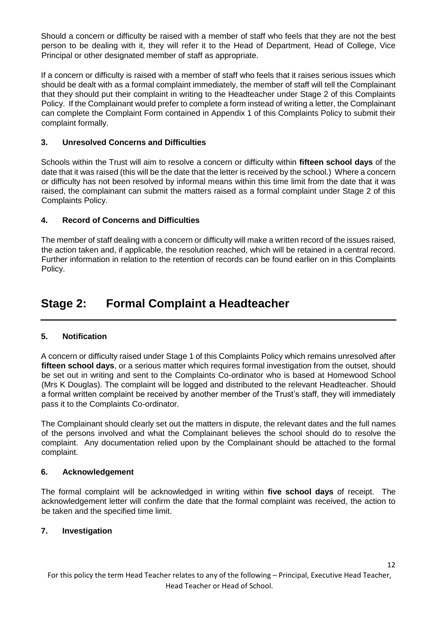Should a concern or difficulty be raised with a member of staff who feels that they are not the best person to be dealing with it, they will refer it to the Head of Department, Head of College, Vice Principal or other designated member of staff as appropriate.

If a concern or difficulty is raised with a member of staff who feels that it raises serious issues which should be dealt with as a formal complaint immediately, the member of staff will tell the Complainant that they should put their complaint in writing to the Headteacher under Stage 2 of this Complaints Policy. If the Complainant would prefer to complete a form instead of writing a letter, the Complainant can complete the Complaint Form contained in Appendix 1 of this Complaints Policy to submit their complaint formally.

#### **3. Unresolved Concerns and Difficulties**

Schools within the Trust will aim to resolve a concern or difficulty within **fifteen school days** of the date that it was raised (this will be the date that the letter is received by the school.) Where a concern or difficulty has not been resolved by informal means within this time limit from the date that it was raised, the complainant can submit the matters raised as a formal complaint under Stage 2 of this Complaints Policy.

#### **4. Record of Concerns and Difficulties**

The member of staff dealing with a concern or difficulty will make a written record of the issues raised, the action taken and, if applicable, the resolution reached, which will be retained in a central record. Further information in relation to the retention of records can be found earlier on in this Complaints Policy.

### **Stage 2: Formal Complaint a Headteacher**

#### **5. Notification**

A concern or difficulty raised under Stage 1 of this Complaints Policy which remains unresolved after **fifteen school days**, or a serious matter which requires formal investigation from the outset, should be set out in writing and sent to the Complaints Co-ordinator who is based at Homewood School (Mrs K Douglas). The complaint will be logged and distributed to the relevant Headteacher. Should a formal written complaint be received by another member of the Trust's staff, they will immediately pass it to the Complaints Co-ordinator.

The Complainant should clearly set out the matters in dispute, the relevant dates and the full names of the persons involved and what the Complainant believes the school should do to resolve the complaint. Any documentation relied upon by the Complainant should be attached to the formal complaint.

#### **6. Acknowledgement**

The formal complaint will be acknowledged in writing within **five school days** of receipt. The acknowledgement letter will confirm the date that the formal complaint was received, the action to be taken and the specified time limit.

#### **7. Investigation**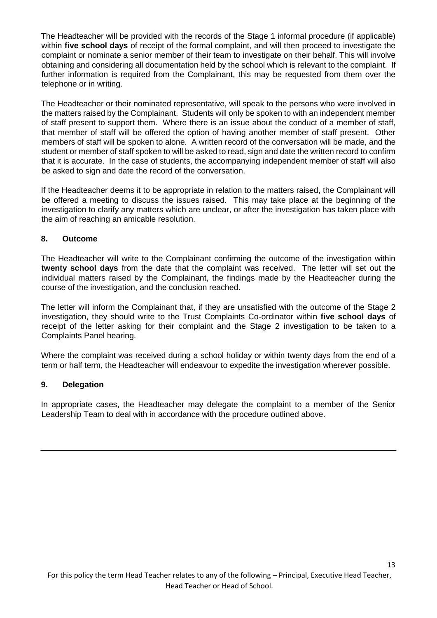The Headteacher will be provided with the records of the Stage 1 informal procedure (if applicable) within **five school days** of receipt of the formal complaint, and will then proceed to investigate the complaint or nominate a senior member of their team to investigate on their behalf. This will involve obtaining and considering all documentation held by the school which is relevant to the complaint. If further information is required from the Complainant, this may be requested from them over the telephone or in writing.

The Headteacher or their nominated representative, will speak to the persons who were involved in the matters raised by the Complainant. Students will only be spoken to with an independent member of staff present to support them. Where there is an issue about the conduct of a member of staff, that member of staff will be offered the option of having another member of staff present. Other members of staff will be spoken to alone. A written record of the conversation will be made, and the student or member of staff spoken to will be asked to read, sign and date the written record to confirm that it is accurate. In the case of students, the accompanying independent member of staff will also be asked to sign and date the record of the conversation.

If the Headteacher deems it to be appropriate in relation to the matters raised, the Complainant will be offered a meeting to discuss the issues raised. This may take place at the beginning of the investigation to clarify any matters which are unclear, or after the investigation has taken place with the aim of reaching an amicable resolution.

#### **8. Outcome**

The Headteacher will write to the Complainant confirming the outcome of the investigation within **twenty school days** from the date that the complaint was received. The letter will set out the individual matters raised by the Complainant, the findings made by the Headteacher during the course of the investigation, and the conclusion reached.

The letter will inform the Complainant that, if they are unsatisfied with the outcome of the Stage 2 investigation, they should write to the Trust Complaints Co-ordinator within **five school days** of receipt of the letter asking for their complaint and the Stage 2 investigation to be taken to a Complaints Panel hearing.

Where the complaint was received during a school holiday or within twenty days from the end of a term or half term, the Headteacher will endeavour to expedite the investigation wherever possible.

#### **9. Delegation**

In appropriate cases, the Headteacher may delegate the complaint to a member of the Senior Leadership Team to deal with in accordance with the procedure outlined above.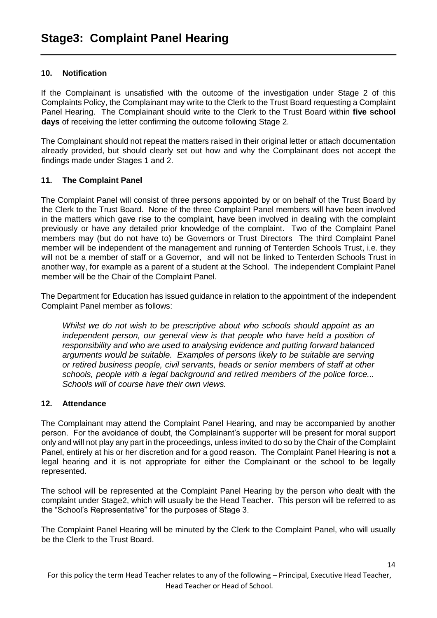#### **10. Notification**

If the Complainant is unsatisfied with the outcome of the investigation under Stage 2 of this Complaints Policy, the Complainant may write to the Clerk to the Trust Board requesting a Complaint Panel Hearing. The Complainant should write to the Clerk to the Trust Board within **five school days** of receiving the letter confirming the outcome following Stage 2.

The Complainant should not repeat the matters raised in their original letter or attach documentation already provided, but should clearly set out how and why the Complainant does not accept the findings made under Stages 1 and 2.

#### **11. The Complaint Panel**

The Complaint Panel will consist of three persons appointed by or on behalf of the Trust Board by the Clerk to the Trust Board. None of the three Complaint Panel members will have been involved in the matters which gave rise to the complaint, have been involved in dealing with the complaint previously or have any detailed prior knowledge of the complaint. Two of the Complaint Panel members may (but do not have to) be Governors or Trust Directors The third Complaint Panel member will be independent of the management and running of Tenterden Schools Trust, i.e. they will not be a member of staff or a Governor, and will not be linked to Tenterden Schools Trust in another way, for example as a parent of a student at the School. The independent Complaint Panel member will be the Chair of the Complaint Panel.

The Department for Education has issued guidance in relation to the appointment of the independent Complaint Panel member as follows:

*Whilst we do not wish to be prescriptive about who schools should appoint as an*  independent person, our general view is that people who have held a position of *responsibility and who are used to analysing evidence and putting forward balanced arguments would be suitable. Examples of persons likely to be suitable are serving or retired business people, civil servants, heads or senior members of staff at other schools, people with a legal background and retired members of the police force... Schools will of course have their own views.* 

#### **12. Attendance**

The Complainant may attend the Complaint Panel Hearing, and may be accompanied by another person. For the avoidance of doubt, the Complainant's supporter will be present for moral support only and will not play any part in the proceedings, unless invited to do so by the Chair of the Complaint Panel, entirely at his or her discretion and for a good reason. The Complaint Panel Hearing is **not** a legal hearing and it is not appropriate for either the Complainant or the school to be legally represented.

The school will be represented at the Complaint Panel Hearing by the person who dealt with the complaint under Stage2, which will usually be the Head Teacher. This person will be referred to as the "School's Representative" for the purposes of Stage 3.

The Complaint Panel Hearing will be minuted by the Clerk to the Complaint Panel, who will usually be the Clerk to the Trust Board.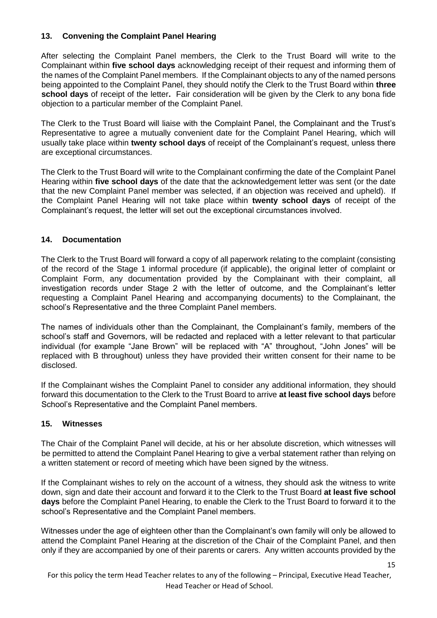#### **13. Convening the Complaint Panel Hearing**

After selecting the Complaint Panel members, the Clerk to the Trust Board will write to the Complainant within **five school days** acknowledging receipt of their request and informing them of the names of the Complaint Panel members. If the Complainant objects to any of the named persons being appointed to the Complaint Panel, they should notify the Clerk to the Trust Board within **three school days** of receipt of the letter**.** Fair consideration will be given by the Clerk to any bona fide objection to a particular member of the Complaint Panel.

The Clerk to the Trust Board will liaise with the Complaint Panel, the Complainant and the Trust's Representative to agree a mutually convenient date for the Complaint Panel Hearing, which will usually take place within **twenty school days** of receipt of the Complainant's request, unless there are exceptional circumstances.

The Clerk to the Trust Board will write to the Complainant confirming the date of the Complaint Panel Hearing within **five school days** of the date that the acknowledgement letter was sent (or the date that the new Complaint Panel member was selected, if an objection was received and upheld). If the Complaint Panel Hearing will not take place within **twenty school days** of receipt of the Complainant's request, the letter will set out the exceptional circumstances involved.

#### **14. Documentation**

The Clerk to the Trust Board will forward a copy of all paperwork relating to the complaint (consisting of the record of the Stage 1 informal procedure (if applicable), the original letter of complaint or Complaint Form, any documentation provided by the Complainant with their complaint, all investigation records under Stage 2 with the letter of outcome, and the Complainant's letter requesting a Complaint Panel Hearing and accompanying documents) to the Complainant, the school's Representative and the three Complaint Panel members.

The names of individuals other than the Complainant, the Complainant's family, members of the school's staff and Governors, will be redacted and replaced with a letter relevant to that particular individual (for example "Jane Brown" will be replaced with "A" throughout, "John Jones" will be replaced with B throughout) unless they have provided their written consent for their name to be disclosed.

If the Complainant wishes the Complaint Panel to consider any additional information, they should forward this documentation to the Clerk to the Trust Board to arrive **at least five school days** before School's Representative and the Complaint Panel members.

#### **15. Witnesses**

The Chair of the Complaint Panel will decide, at his or her absolute discretion, which witnesses will be permitted to attend the Complaint Panel Hearing to give a verbal statement rather than relying on a written statement or record of meeting which have been signed by the witness.

If the Complainant wishes to rely on the account of a witness, they should ask the witness to write down, sign and date their account and forward it to the Clerk to the Trust Board **at least five school days** before the Complaint Panel Hearing, to enable the Clerk to the Trust Board to forward it to the school's Representative and the Complaint Panel members.

Witnesses under the age of eighteen other than the Complainant's own family will only be allowed to attend the Complaint Panel Hearing at the discretion of the Chair of the Complaint Panel, and then only if they are accompanied by one of their parents or carers. Any written accounts provided by the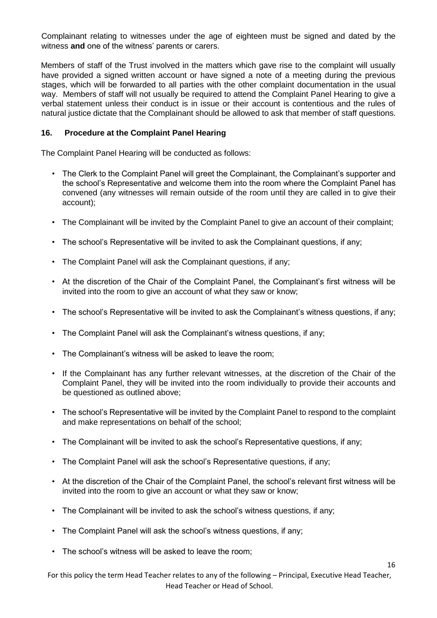Complainant relating to witnesses under the age of eighteen must be signed and dated by the witness **and** one of the witness' parents or carers.

Members of staff of the Trust involved in the matters which gave rise to the complaint will usually have provided a signed written account or have signed a note of a meeting during the previous stages, which will be forwarded to all parties with the other complaint documentation in the usual way. Members of staff will not usually be required to attend the Complaint Panel Hearing to give a verbal statement unless their conduct is in issue or their account is contentious and the rules of natural justice dictate that the Complainant should be allowed to ask that member of staff questions.

#### **16. Procedure at the Complaint Panel Hearing**

The Complaint Panel Hearing will be conducted as follows:

- The Clerk to the Complaint Panel will greet the Complainant, the Complainant's supporter and the school's Representative and welcome them into the room where the Complaint Panel has convened (any witnesses will remain outside of the room until they are called in to give their account);
- The Complainant will be invited by the Complaint Panel to give an account of their complaint;
- The school's Representative will be invited to ask the Complainant questions, if any;
- The Complaint Panel will ask the Complainant questions, if any;
- At the discretion of the Chair of the Complaint Panel, the Complainant's first witness will be invited into the room to give an account of what they saw or know;
- The school's Representative will be invited to ask the Complainant's witness questions, if any;
- The Complaint Panel will ask the Complainant's witness questions, if any;
- The Complainant's witness will be asked to leave the room;
- If the Complainant has any further relevant witnesses, at the discretion of the Chair of the Complaint Panel, they will be invited into the room individually to provide their accounts and be questioned as outlined above;
- The school's Representative will be invited by the Complaint Panel to respond to the complaint and make representations on behalf of the school;
- The Complainant will be invited to ask the school's Representative questions, if any;
- The Complaint Panel will ask the school's Representative questions, if any;
- At the discretion of the Chair of the Complaint Panel, the school's relevant first witness will be invited into the room to give an account or what they saw or know;
- The Complainant will be invited to ask the school's witness questions, if any;
- The Complaint Panel will ask the school's witness questions, if any;
- The school's witness will be asked to leave the room;

For this policy the term Head Teacher relates to any of the following – Principal, Executive Head Teacher, Head Teacher or Head of School.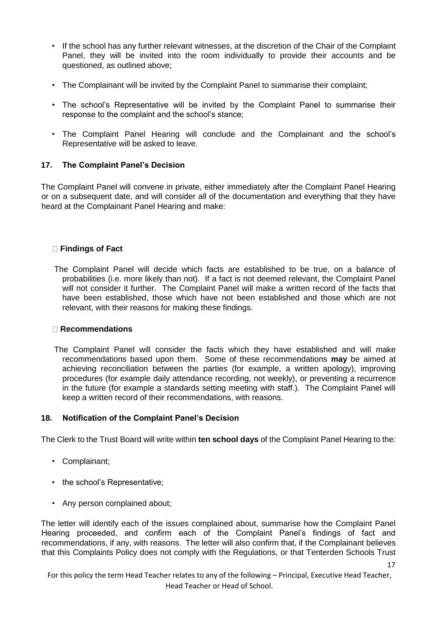- If the school has any further relevant witnesses, at the discretion of the Chair of the Complaint Panel, they will be invited into the room individually to provide their accounts and be questioned, as outlined above;
- The Complainant will be invited by the Complaint Panel to summarise their complaint;
- The school's Representative will be invited by the Complaint Panel to summarise their response to the complaint and the school's stance;
- The Complaint Panel Hearing will conclude and the Complainant and the school's Representative will be asked to leave.

#### **17. The Complaint Panel's Decision**

The Complaint Panel will convene in private, either immediately after the Complaint Panel Hearing or on a subsequent date, and will consider all of the documentation and everything that they have heard at the Complainant Panel Hearing and make:

#### **Findings of Fact**

The Complaint Panel will decide which facts are established to be true, on a balance of probabilities (i.e. more likely than not). If a fact is not deemed relevant, the Complaint Panel will not consider it further. The Complaint Panel will make a written record of the facts that have been established, those which have not been established and those which are not relevant, with their reasons for making these findings.

#### **Recommendations**

The Complaint Panel will consider the facts which they have established and will make recommendations based upon them. Some of these recommendations **may** be aimed at achieving reconciliation between the parties (for example, a written apology), improving procedures (for example daily attendance recording, not weekly), or preventing a recurrence in the future (for example a standards setting meeting with staff.). The Complaint Panel will keep a written record of their recommendations, with reasons.

#### **18. Notification of the Complaint Panel's Decision**

The Clerk to the Trust Board will write within **ten school days** of the Complaint Panel Hearing to the:

- Complainant;
- the school's Representative;
- Any person complained about;

The letter will identify each of the issues complained about, summarise how the Complaint Panel Hearing proceeded, and confirm each of the Complaint Panel's findings of fact and recommendations, if any, with reasons. The letter will also confirm that, if the Complainant believes that this Complaints Policy does not comply with the Regulations, or that Tenterden Schools Trust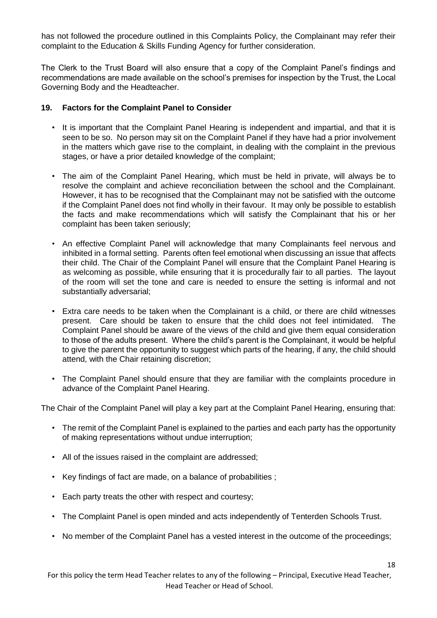has not followed the procedure outlined in this Complaints Policy, the Complainant may refer their complaint to the Education & Skills Funding Agency for further consideration.

The Clerk to the Trust Board will also ensure that a copy of the Complaint Panel's findings and recommendations are made available on the school's premises for inspection by the Trust, the Local Governing Body and the Headteacher.

#### **19. Factors for the Complaint Panel to Consider**

- It is important that the Complaint Panel Hearing is independent and impartial, and that it is seen to be so. No person may sit on the Complaint Panel if they have had a prior involvement in the matters which gave rise to the complaint, in dealing with the complaint in the previous stages, or have a prior detailed knowledge of the complaint;
- The aim of the Complaint Panel Hearing, which must be held in private, will always be to resolve the complaint and achieve reconciliation between the school and the Complainant. However, it has to be recognised that the Complainant may not be satisfied with the outcome if the Complaint Panel does not find wholly in their favour. It may only be possible to establish the facts and make recommendations which will satisfy the Complainant that his or her complaint has been taken seriously;
- An effective Complaint Panel will acknowledge that many Complainants feel nervous and inhibited in a formal setting. Parents often feel emotional when discussing an issue that affects their child. The Chair of the Complaint Panel will ensure that the Complaint Panel Hearing is as welcoming as possible, while ensuring that it is procedurally fair to all parties. The layout of the room will set the tone and care is needed to ensure the setting is informal and not substantially adversarial;
- Extra care needs to be taken when the Complainant is a child, or there are child witnesses present. Care should be taken to ensure that the child does not feel intimidated. The Complaint Panel should be aware of the views of the child and give them equal consideration to those of the adults present. Where the child's parent is the Complainant, it would be helpful to give the parent the opportunity to suggest which parts of the hearing, if any, the child should attend, with the Chair retaining discretion;
- The Complaint Panel should ensure that they are familiar with the complaints procedure in advance of the Complaint Panel Hearing.

The Chair of the Complaint Panel will play a key part at the Complaint Panel Hearing, ensuring that:

- The remit of the Complaint Panel is explained to the parties and each party has the opportunity of making representations without undue interruption;
- All of the issues raised in the complaint are addressed;
- Key findings of fact are made, on a balance of probabilities ;
- Each party treats the other with respect and courtesy;
- The Complaint Panel is open minded and acts independently of Tenterden Schools Trust.
- No member of the Complaint Panel has a vested interest in the outcome of the proceedings;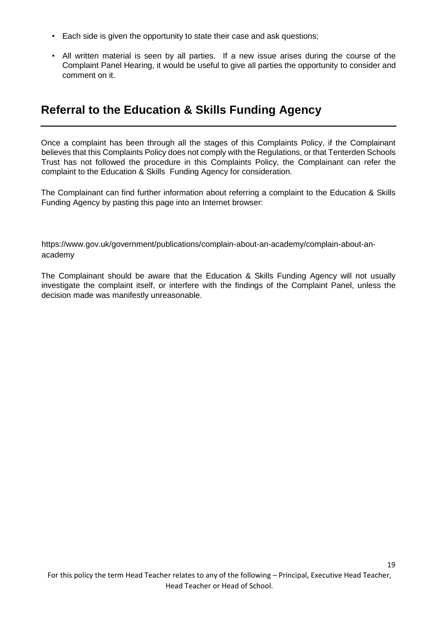- Each side is given the opportunity to state their case and ask questions;
- All written material is seen by all parties. If a new issue arises during the course of the Complaint Panel Hearing, it would be useful to give all parties the opportunity to consider and comment on it.

### **Referral to the Education & Skills Funding Agency**

Once a complaint has been through all the stages of this Complaints Policy, if the Complainant believes that this Complaints Policy does not comply with the Regulations, or that Tenterden Schools Trust has not followed the procedure in this Complaints Policy, the Complainant can refer the complaint to the Education & Skills Funding Agency for consideration.

The Complainant can find further information about referring a complaint to the Education & Skills Funding Agency by pasting this page into an Internet browser:

https://www.gov.uk/government/publications/complain-about-an-academy/complain-about-anacademy

The Complainant should be aware that the Education & Skills Funding Agency will not usually investigate the complaint itself, or interfere with the findings of the Complaint Panel, unless the decision made was manifestly unreasonable.